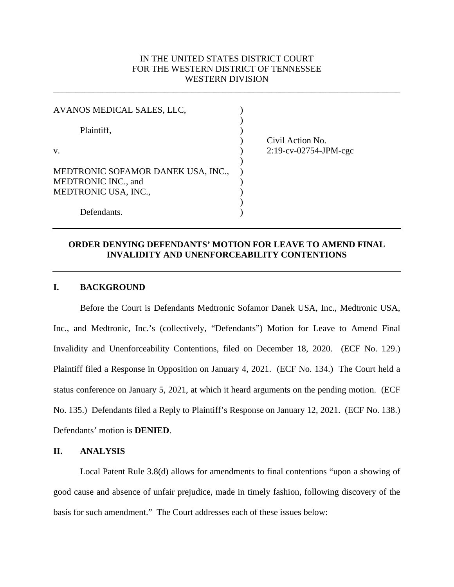# IN THE UNITED STATES DISTRICT COURT FOR THE WESTERN DISTRICT OF TENNESSEE WESTERN DIVISION

\_\_\_\_\_\_\_\_\_\_\_\_\_\_\_\_\_\_\_\_\_\_\_\_\_\_\_\_\_\_\_\_\_\_\_\_\_\_\_\_\_\_\_\_\_\_\_\_\_\_\_\_\_\_\_\_\_\_\_\_\_\_\_\_\_\_\_\_\_\_\_\_\_\_\_\_\_\_

| AVANOS MEDICAL SALES, LLC,                                                        |                          |
|-----------------------------------------------------------------------------------|--------------------------|
| Plaintiff,                                                                        | Civil Action No.         |
| V.                                                                                | $2:19$ -cv-02754-JPM-cgc |
| MEDTRONIC SOFAMOR DANEK USA, INC.,<br>MEDTRONIC INC., and<br>MEDTRONIC USA, INC., |                          |
| Defendants.                                                                       |                          |

## **ORDER DENYING DEFENDANTS' MOTION FOR LEAVE TO AMEND FINAL INVALIDITY AND UNENFORCEABILITY CONTENTIONS**

## **I. BACKGROUND**

Before the Court is Defendants Medtronic Sofamor Danek USA, Inc., Medtronic USA, Inc., and Medtronic, Inc.'s (collectively, "Defendants") Motion for Leave to Amend Final Invalidity and Unenforceability Contentions, filed on December 18, 2020. (ECF No. 129.) Plaintiff filed a Response in Opposition on January 4, 2021. (ECF No. 134.) The Court held a status conference on January 5, 2021, at which it heard arguments on the pending motion. (ECF No. 135.) Defendants filed a Reply to Plaintiff's Response on January 12, 2021. (ECF No. 138.) Defendants' motion is **DENIED**.

#### **II. ANALYSIS**

Local Patent Rule 3.8(d) allows for amendments to final contentions "upon a showing of good cause and absence of unfair prejudice, made in timely fashion, following discovery of the basis for such amendment." The Court addresses each of these issues below: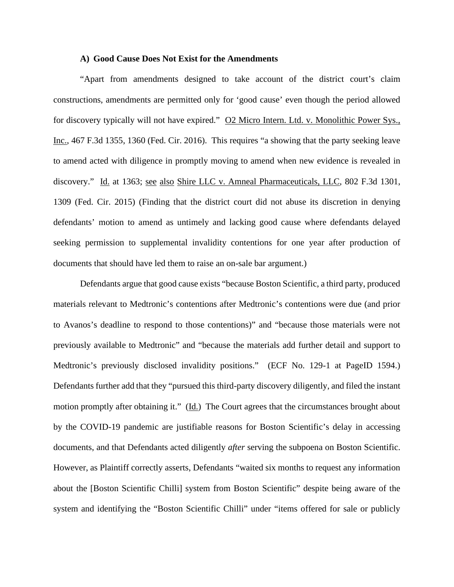#### **A) Good Cause Does Not Exist for the Amendments**

"Apart from amendments designed to take account of the district court's claim constructions, amendments are permitted only for 'good cause' even though the period allowed for discovery typically will not have expired." O2 Micro Intern. Ltd. v. Monolithic Power Sys., Inc., 467 F.3d 1355, 1360 (Fed. Cir. 2016). This requires "a showing that the party seeking leave to amend acted with diligence in promptly moving to amend when new evidence is revealed in discovery." Id. at 1363; see also Shire LLC v. Amneal Pharmaceuticals, LLC, 802 F.3d 1301, 1309 (Fed. Cir. 2015) (Finding that the district court did not abuse its discretion in denying defendants' motion to amend as untimely and lacking good cause where defendants delayed seeking permission to supplemental invalidity contentions for one year after production of documents that should have led them to raise an on-sale bar argument.)

Defendants argue that good cause exists "because Boston Scientific, a third party, produced materials relevant to Medtronic's contentions after Medtronic's contentions were due (and prior to Avanos's deadline to respond to those contentions)" and "because those materials were not previously available to Medtronic" and "because the materials add further detail and support to Medtronic's previously disclosed invalidity positions." (ECF No. 129-1 at PageID 1594.) Defendants further add that they "pursued this third-party discovery diligently, and filed the instant motion promptly after obtaining it." (Id.) The Court agrees that the circumstances brought about by the COVID-19 pandemic are justifiable reasons for Boston Scientific's delay in accessing documents, and that Defendants acted diligently *after* serving the subpoena on Boston Scientific. However, as Plaintiff correctly asserts, Defendants "waited six months to request any information about the [Boston Scientific Chilli] system from Boston Scientific" despite being aware of the system and identifying the "Boston Scientific Chilli" under "items offered for sale or publicly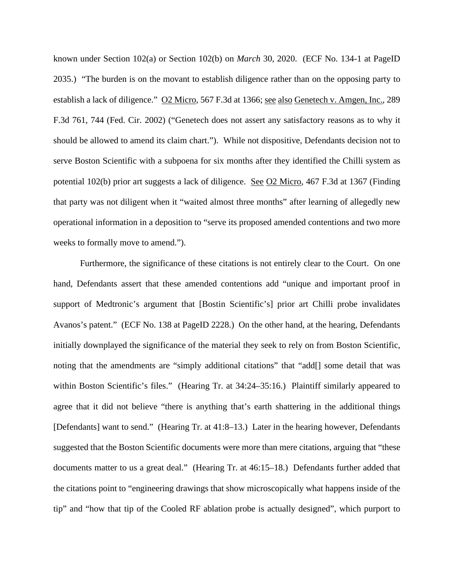known under Section 102(a) or Section 102(b) on *March* 30, 2020. (ECF No. 134-1 at PageID 2035.) "The burden is on the movant to establish diligence rather than on the opposing party to establish a lack of diligence." O2 Micro, 567 F.3d at 1366; see also Genetech v. Amgen, Inc., 289 F.3d 761, 744 (Fed. Cir. 2002) ("Genetech does not assert any satisfactory reasons as to why it should be allowed to amend its claim chart."). While not dispositive, Defendants decision not to serve Boston Scientific with a subpoena for six months after they identified the Chilli system as potential 102(b) prior art suggests a lack of diligence. See O2 Micro, 467 F.3d at 1367 (Finding that party was not diligent when it "waited almost three months" after learning of allegedly new operational information in a deposition to "serve its proposed amended contentions and two more weeks to formally move to amend.").

Furthermore, the significance of these citations is not entirely clear to the Court. On one hand, Defendants assert that these amended contentions add "unique and important proof in support of Medtronic's argument that [Bostin Scientific's] prior art Chilli probe invalidates Avanos's patent." (ECF No. 138 at PageID 2228.) On the other hand, at the hearing, Defendants initially downplayed the significance of the material they seek to rely on from Boston Scientific, noting that the amendments are "simply additional citations" that "add[] some detail that was within Boston Scientific's files." (Hearing Tr. at 34:24–35:16.) Plaintiff similarly appeared to agree that it did not believe "there is anything that's earth shattering in the additional things [Defendants] want to send." (Hearing Tr. at 41:8–13.) Later in the hearing however, Defendants suggested that the Boston Scientific documents were more than mere citations, arguing that "these documents matter to us a great deal." (Hearing Tr. at 46:15–18.) Defendants further added that the citations point to "engineering drawings that show microscopically what happens inside of the tip" and "how that tip of the Cooled RF ablation probe is actually designed", which purport to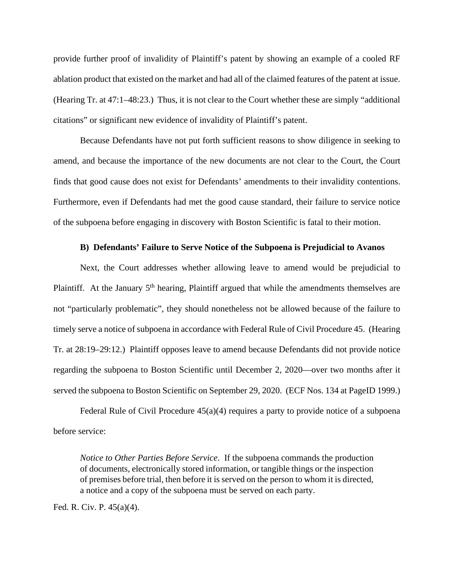provide further proof of invalidity of Plaintiff's patent by showing an example of a cooled RF ablation product that existed on the market and had all of the claimed features of the patent at issue. (Hearing Tr. at 47:1–48:23.) Thus, it is not clear to the Court whether these are simply "additional citations" or significant new evidence of invalidity of Plaintiff's patent.

Because Defendants have not put forth sufficient reasons to show diligence in seeking to amend, and because the importance of the new documents are not clear to the Court, the Court finds that good cause does not exist for Defendants' amendments to their invalidity contentions. Furthermore, even if Defendants had met the good cause standard, their failure to service notice of the subpoena before engaging in discovery with Boston Scientific is fatal to their motion.

#### **B) Defendants' Failure to Serve Notice of the Subpoena is Prejudicial to Avanos**

Next, the Court addresses whether allowing leave to amend would be prejudicial to Plaintiff. At the January 5<sup>th</sup> hearing, Plaintiff argued that while the amendments themselves are not "particularly problematic", they should nonetheless not be allowed because of the failure to timely serve a notice of subpoena in accordance with Federal Rule of Civil Procedure 45. (Hearing Tr. at 28:19–29:12.) Plaintiff opposes leave to amend because Defendants did not provide notice regarding the subpoena to Boston Scientific until December 2, 2020—over two months after it served the subpoena to Boston Scientific on September 29, 2020. (ECF Nos. 134 at PageID 1999.)

Federal Rule of Civil Procedure  $45(a)(4)$  requires a party to provide notice of a subpoena before service:

*Notice to Other Parties Before Service*. If the subpoena commands the production of documents, electronically stored information, or tangible things or the inspection of premises before trial, then before it is served on the person to whom it is directed, a notice and a copy of the subpoena must be served on each party.

Fed. R. Civ. P. 45(a)(4).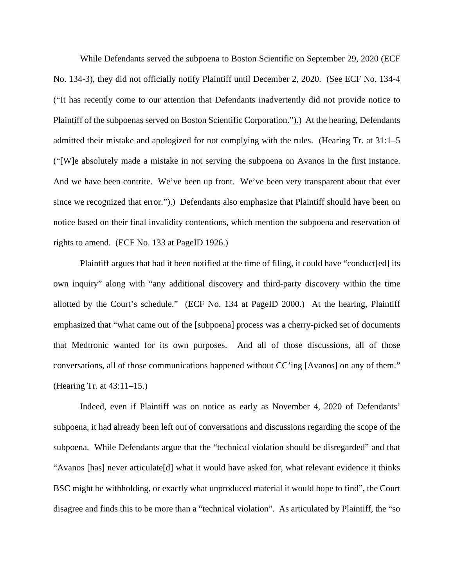While Defendants served the subpoena to Boston Scientific on September 29, 2020 (ECF No. 134-3), they did not officially notify Plaintiff until December 2, 2020. (See ECF No. 134-4 ("It has recently come to our attention that Defendants inadvertently did not provide notice to Plaintiff of the subpoenas served on Boston Scientific Corporation.").) At the hearing, Defendants admitted their mistake and apologized for not complying with the rules. (Hearing Tr. at 31:1–5 ("[W]e absolutely made a mistake in not serving the subpoena on Avanos in the first instance. And we have been contrite. We've been up front. We've been very transparent about that ever since we recognized that error.").) Defendants also emphasize that Plaintiff should have been on notice based on their final invalidity contentions, which mention the subpoena and reservation of rights to amend. (ECF No. 133 at PageID 1926.)

Plaintiff argues that had it been notified at the time of filing, it could have "conduct[ed] its own inquiry" along with "any additional discovery and third-party discovery within the time allotted by the Court's schedule." (ECF No. 134 at PageID 2000.) At the hearing, Plaintiff emphasized that "what came out of the [subpoena] process was a cherry-picked set of documents that Medtronic wanted for its own purposes. And all of those discussions, all of those conversations, all of those communications happened without CC'ing [Avanos] on any of them." (Hearing Tr. at 43:11–15.)

Indeed, even if Plaintiff was on notice as early as November 4, 2020 of Defendants' subpoena, it had already been left out of conversations and discussions regarding the scope of the subpoena. While Defendants argue that the "technical violation should be disregarded" and that "Avanos [has] never articulate[d] what it would have asked for, what relevant evidence it thinks BSC might be withholding, or exactly what unproduced material it would hope to find", the Court disagree and finds this to be more than a "technical violation". As articulated by Plaintiff, the "so